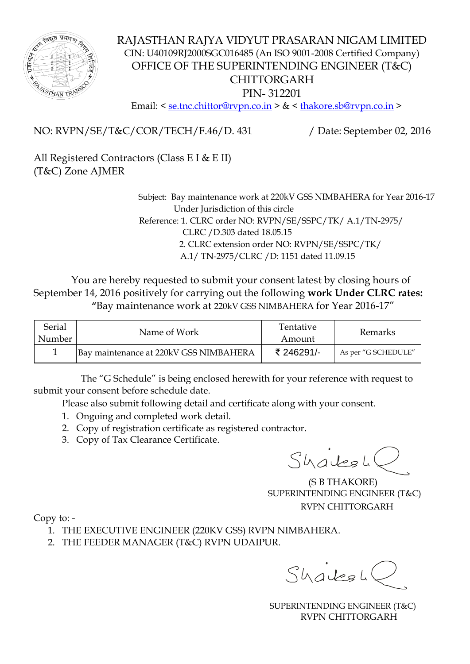

## RAJASTHAN RAJYA VIDYUT PRASARAN NIGAM LIMITED CIN: U40109RJ2000SGC016485 (An ISO 9001-2008 Certified Company) OFFICE OF THE SUPERINTENDING ENGINEER (T&C) CHITTORGARH PIN- 312201

Email: < <u>se.tnc.chittor@rvpn.co.in</u> > & < [thakore.sb@rvpn.co.in](mailto:thakore.sb@rvpn.co.in) >

NO: RVPN/SE/T&C/COR/TECH/F.46/D. 431 / Date: September 02, 2016

All Registered Contractors (Class E I & E II) (T&C) Zone AJMER

> Subject: Bay maintenance work at 220kV GSS NIMBAHERA for Year 2016-17 Under Jurisdiction of this circle Reference: 1. CLRC order NO: RVPN/SE/SSPC/TK/ A.1/TN-2975/ CLRC /D.303 dated 18.05.15 2. CLRC extension order NO: RVPN/SE/SSPC/TK/ A.1/ TN-2975/CLRC /D: 1151 dated 11.09.15

 You are hereby requested to submit your consent latest by closing hours of September 14, 2016 positively for carrying out the following **work Under CLRC rates: "**Bay maintenance work at 220kV GSS NIMBAHERA for Year 2016-17"

| Serial<br>Number | Name of Work                           | <b>Tentative</b><br>Amount | <b>Remarks</b>      |
|------------------|----------------------------------------|----------------------------|---------------------|
|                  | Bay maintenance at 220kV GSS NIMBAHERA | ₹ 246291/-                 | As per "G SCHEDULE" |

 The "G Schedule" is being enclosed herewith for your reference with request to submit your consent before schedule date.

Please also submit following detail and certificate along with your consent.

- 1. Ongoing and completed work detail.
- 2. Copy of registration certificate as registered contractor.
- 3. Copy of Tax Clearance Certificate.

Shalesh

 (S B THAKORE) SUPERINTENDING ENGINEER (T&C) RVPN CHITTORGARH

Copy to: -

- 1. THE EXECUTIVE ENGINEER (220KV GSS) RVPN NIMBAHERA.
- 2. THE FEEDER MANAGER (T&C) RVPN UDAIPUR.

 $Subsubscriptstyle$ 

 SUPERINTENDING ENGINEER (T&C) RVPN CHITTORGARH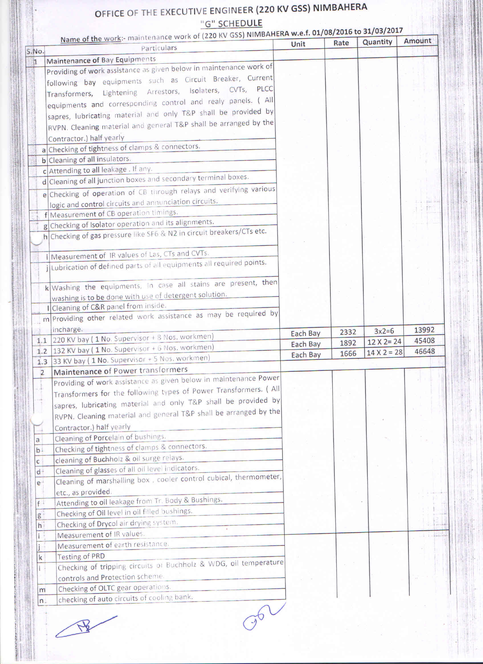## OFFICE OF THE EXECUTIVE ENGINEER (220 KV GSS) NIMBAHERA "G" SCHEDULE

|                | Name of the work:- maintenance work of (220 KV GSS) NIMBAHERA w.e.f. 01/08/2016 to 31/03/2017<br>Particulars | Unit     | Rate | Quantity           | Amount |
|----------------|--------------------------------------------------------------------------------------------------------------|----------|------|--------------------|--------|
| S.No.          | Maintenance of Bay Equipments                                                                                |          |      |                    |        |
| $\mathbf{1}$   | Providing of work assistance as given below in maintenance work of                                           |          |      |                    |        |
|                |                                                                                                              |          |      |                    |        |
|                | following bay equipments such as Circuit Breaker, Current                                                    |          |      |                    |        |
|                | Transformers, Lightening Arrestors, Isolaters, CVTs, PLCC                                                    |          |      |                    |        |
|                | equipments and corresponding control and realy panels. (All                                                  |          |      |                    |        |
|                | sapres, lubricating material and only T&P shall be provided by                                               |          |      |                    |        |
|                | RVPN. Cleaning material and general T&P shall be arranged by the                                             |          |      |                    |        |
|                | Contractor.) half yearly                                                                                     |          |      |                    |        |
|                | a Checking of tightness of clamps & connectors.                                                              |          |      |                    |        |
|                | b Cleaning of all insulators.                                                                                |          |      |                    |        |
|                | c Attending to all leakage . If any.                                                                         |          |      |                    |        |
|                | d Cleaning of all junction boxes and secondary terminal boxes.                                               |          |      |                    |        |
|                | e Checking of operation of CB through relays and verifying various                                           |          |      |                    |        |
|                | logic and control circuits and annunciation circuits.                                                        |          |      |                    |        |
|                | f Measurement of CB operation timings.                                                                       |          |      |                    |        |
|                | g Checking of Isolator operation and its alignments.                                                         |          |      |                    |        |
|                | h Checking of gas pressure like SF6 & N2 in circuit breakers/CTs etc.                                        |          |      |                    |        |
|                |                                                                                                              |          |      |                    |        |
|                | i Measurement of IR values of Las, CTs and CVTs.                                                             |          |      |                    |        |
|                | jubrication of defined parts of all equipments all required points.                                          |          |      |                    |        |
|                |                                                                                                              |          |      |                    |        |
|                | k Washing the equipments, In case all stains are present, then                                               |          |      |                    |        |
|                | washing is to be done with use of detergent solution.                                                        |          |      |                    |        |
|                |                                                                                                              |          |      |                    |        |
|                | I Cleaning of C&R panel from inside.<br>m Providing other related work assistance as may be required by      |          |      |                    |        |
|                |                                                                                                              |          |      |                    |        |
|                | incharge.                                                                                                    | Each Bay | 2332 | $3x2=6$            | 13992  |
|                | 1.1 220 KV bay (1 No. Supervisor + 8 Nos. workmen)                                                           | Each Bay | 1892 | $12 \times 2 = 24$ | 45408  |
|                |                                                                                                              |          |      |                    |        |
|                | 1.2 132 KV bay (1 No. Supervisor + 6 Nos. workmen)                                                           | Each Bay | 1666 | $14 X 2 = 28$      |        |
|                | 1.3 33 KV bay (1 No. Supervisor + 5 Nos. workmen)                                                            |          |      |                    | 46648  |
| $\overline{2}$ | Maintenance of Power transformers                                                                            |          |      |                    |        |
|                | Providing of work assistance as given below in maintenance Power                                             |          |      |                    |        |
|                | Transformers for the following types of Power Transformers. (All                                             |          |      |                    |        |
|                |                                                                                                              |          |      |                    |        |
|                | sapres, lubricating material and only T&P shall be provided by                                               |          |      |                    |        |
|                | RVPN. Cleaning material and general T&P shall be arranged by the                                             |          |      |                    |        |
|                | Contractor.) half yearly                                                                                     |          |      |                    |        |
| a              | Cleaning of Porcelain of bushings.                                                                           |          |      |                    |        |
| $b +$          | Checking of tightness of clamps & connectors.                                                                |          |      |                    |        |
| $\mathsf{C}$   | cleaning of Buchholz & oil surge relays.                                                                     |          |      |                    |        |
| $d+$           | Cleaning of glasses of all oil level indicators.                                                             |          |      |                    |        |
| $e+$           | Cleaning of marshalling box, cooler control cubical, thermometer,                                            |          |      |                    |        |
|                | etc., as provided.                                                                                           |          |      |                    |        |
| f              | Attending to oil leakage from Tr. Body & Bushings.                                                           |          |      |                    |        |
| g              | Checking of Oil level in oil filled bushings.                                                                |          |      |                    |        |
| h <sub>1</sub> | Checking of Drycol air drying system.                                                                        |          |      |                    |        |
|                | Measurement of IR values.                                                                                    |          |      |                    |        |
|                | Measurement of earth resistance.                                                                             |          |      |                    |        |
| k              | <b>Testing of PRD</b>                                                                                        |          |      |                    |        |
|                | Checking of tripping circuits of Buchholz & WDG, oil temperature                                             |          |      |                    |        |
|                | controls and Protection scheme.                                                                              |          |      |                    |        |
| m              | Checking of OLTC gear operations.<br>checking of auto circuits of cooling bank.                              |          |      |                    |        |

Lo